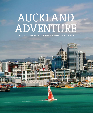# AUCKLAND ADVENTURE

UNCOVER THE NATURAL WONDERS OF AUCKLAND, NEW ZEALAND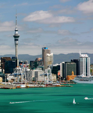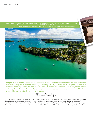OPENING PAGES: The colors of the Hauraki Gulf beautifully contrast with the skyline of the City of Sails. BELOW: Take advantage of taking a ferry to Waiheke Island for art shopping and wine tasting. OPPOSITE, FROM LEFT: Get a dose of adrenaline by walking or jumping from the Auckland Bridge. Grab a surfboard to catch a wave Kiwi-style. The native Tui bird can be seen around the country.

Imagine a multicultural, urban environment with a sunny climate that combines the best of nature: incredible hiking trails, pristine beaches, enchanting islands, and top-notch vineyards, all within a half-hour of the city center. This one-of-a-kind city is Auckland, New Zealand. Rich in Polynesian culture and a reputation for incredible food and wine, Auckland is a perfect metro destination with all the buzz of a world-class city with plenty of natural escapes.

Written by Heidi Siefkas

Known as the City of Sails because of its two harbors and most recently hosting the 2003 America's Cup, Auckland is the largest city in New Zealand; however, it also has a secondary nickname—City of Volcanoes—because of its unique and fiery geology. It is home to fifty volcanoes, some of which are still active.You can explore the highest volcanic cone, Mount Eden, for a beautiful view of

the Viaduct Harbour, City Centre, Auckland Harbour Bridge, and the Hauraki Gulf.

To understand its Maori culture, history, and art, take a stroll through the Auckland Museum